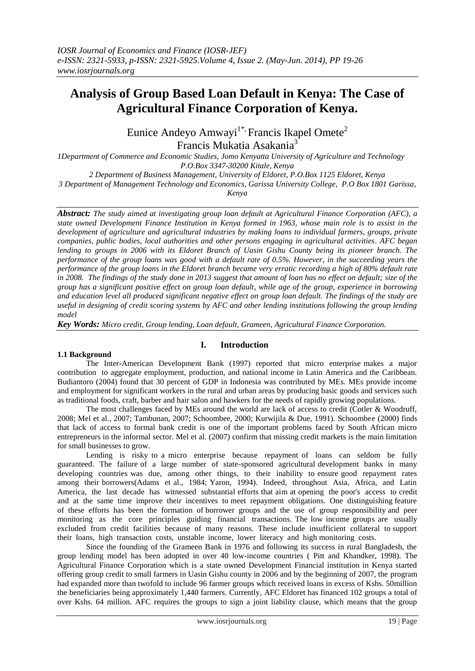# **Analysis of Group Based Loan Default in Kenya: The Case of Agricultural Finance Corporation of Kenya.**

Eunice Andeyo Amwayi<sup>1\*,</sup> Francis Ikapel Omete<sup>2</sup>

Francis Mukatia Asakania<sup>3</sup>

*1Department of Commerce and Economic Studies, Jomo Kenyatta University of Agriculture and Technology P.O.Box 3347-30200 Kitale, Kenya*

*2 Department of Business Management, University of Eldoret, P.O.Box 1125 Eldoret, Kenya*

*3 Department of Management Technology and Economics, Garissa University College, P.O Box 1801 Garissa,* 

*Kenya*

*Abstract: The study aimed at investigating group loan default at Agricultural Finance Corporation (AFC), a state owned Development Finance Institution in Kenya formed in 1963, whose main role is to assist in the development of agriculture and agricultural industries by making loans to individual farmers, groups, private companies, public bodies, local authorities and other persons engaging in agricultural activities. AFC began lending to groups in 2006 with its Eldoret Branch of Uasin Gishu County being its pioneer branch. The performance of the group loans was good with a default rate of 0.5%. However, in the succeeding years the performance of the group loans in the Eldoret branch became very erratic recording a high of 80% default rate in 2008. The findings of the study done in 2013 suggest that amount of loan has no effect on default; size of the group has a significant positive effect on group loan default, while age of the group, experience in borrowing and education level all produced significant negative effect on group loan default. The findings of the study are useful in designing of credit scoring systems by AFC and other lending institutions following the group lending model*

*Key Words: Micro credit, Group lending, Loan default, Grameen, Agricultural Finance Corporation.*

# **1.1 Background**

# **I. Introduction**

The Inter-American Development Bank (1997) reported that micro enterprise makes a major contribution to aggregate employment, production, and national income in Latin America and the Caribbean. Budiantoro (2004) found that 30 percent of GDP in Indonesia was contributed by MEs. MEs provide income and employment for significant workers in the rural and urban areas by producing basic goods and services such as traditional foods, craft, barber and hair salon and hawkers for the needs of rapidly growing populations.

The most challenges faced by MEs around the world are lack of access to credit (Cotler & Woodruff, 2008; Mel et al., 2007; Tambunan, 2007; Schoombee, 2000; Kurwijila & Due, 1991). Schoombee (2000) finds that lack of access to formal bank credit is one of the important problems faced by South African micro entrepreneurs in the informal sector. Mel et al. (2007) confirm that missing credit markets is the main limitation for small businesses to grow.

Lending is risky to a micro enterprise because repayment of loans can seldom be fully guaranteed. The failure of a large number of state-sponsored agricultural development banks in many developing countries was due, among other things, to their inability to ensure good repayment rates among their borrowers(Adams et al., 1984; Yaron, 1994). Indeed, throughout Asia, Africa, and Latin America, the last decade has witnessed substantial efforts that aim at opening the poor's access to credit and at the same time improve their incentives to meet repayment obligations. One distinguishing feature of these efforts has been the formation of borrower groups and the use of group responsibility and peer monitoring as the core principles guiding financial transactions. The low income groups are usually excluded from credit facilities because of many reasons. These include insufficient collateral to support their loans, high transaction costs, unstable income, lower literacy and high monitoring costs.

Since the founding of the Grameen Bank in 1976 and following its success in rural Bangladesh, the group lending model has been adopted in over 40 low-income countries ( Pitt and Khandker, 1998). The Agricultural Finance Corporation which is a state owned Development Financial institution in Kenya started offering group credit to small farmers in Uasin Gishu county in 2006 and by the beginning of 2007, the program had expanded more than twofold to include 96 farmer groups which received loans in excess of Kshs. 50million the beneficiaries being approximately 1,440 farmers. Currently, AFC Eldoret has financed 102 groups a total of over Kshs. 64 million. AFC requires the groups to sign a joint liability clause, which means that the group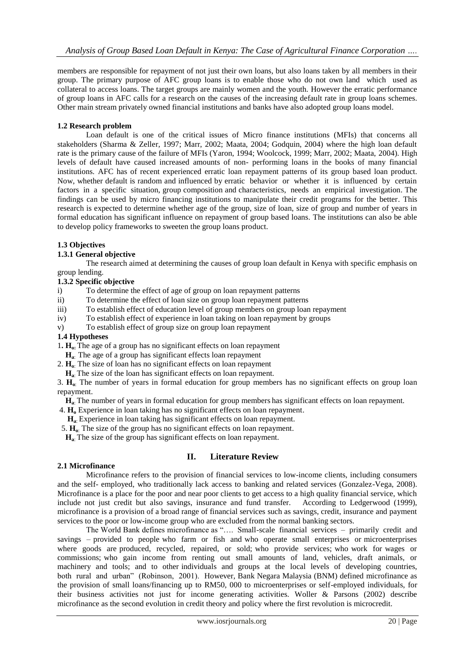members are responsible for repayment of not just their own loans, but also loans taken by all members in their group. The primary purpose of AFC group loans is to enable those who do not own land which used as collateral to access loans. The target groups are mainly women and the youth. However the erratic performance of group loans in AFC calls for a research on the causes of the increasing default rate in group loans schemes. Other main stream privately owned financial institutions and banks have also adopted group loans model.

## **1.2 Research problem**

Loan default is one of the critical issues of Micro finance institutions (MFIs) that concerns all stakeholders (Sharma & Zeller, 1997; Marr, 2002; Maata, 2004; Godquin, 2004) where the high loan default rate is the primary cause of the failure of MFIs (Yaron, 1994; Woolcock, 1999; Marr, 2002; Maata, 2004). High levels of default have caused increased amounts of non- performing loans in the books of many financial institutions. AFC has of recent experienced erratic loan repayment patterns of its group based loan product. Now, whether default is random and influenced by erratic behavior or whether it is influenced by certain factors in a specific situation, group composition and characteristics, needs an empirical investigation. The findings can be used by micro financing institutions to manipulate their credit programs for the better. This research is expected to determine whether age of the group, size of loan, size of group and number of years in formal education has significant influence on repayment of group based loans. The institutions can also be able to develop policy frameworks to sweeten the group loans product.

## **1.3 Objectives**

## **1.3.1 General objective**

The research aimed at determining the causes of group loan default in Kenya with specific emphasis on group lending.

## **1.3.2 Specific objective**

- i) To determine the effect of age of group on loan repayment patterns
- ii) To determine the effect of loan size on group loan repayment patterns
- iii) To establish effect of education level of group members on group loan repayment
- iv) To establish effect of experience in loan taking on loan repayment by groups
- v) To establish effect of group size on group loan repayment

#### **1.4 Hypotheses**

1**. Ho:** The age of a group has no significant effects on loan repayment

- **Ha**: The age of a group has significant effects loan repayment
- 2. **Ho**: The size of loan has no significant effects on loan repayment
- **Ha**: The size of the loan has significant effects on loan repayment.

3. **Ho**: The number of years in formal education for group members has no significant effects on group loan repayment.

**Ha**: The number of years in formal education for group members has significant effects on loan repayment.

- 4. **H<sup>o</sup>** Experience in loan taking has no significant effects on loan repayment.
- **Ha**: Experience in loan taking has significant effects on loan repayment.
- 5.  $\mathbf{H}_{\alpha}$ : The size of the group has no significant effects on loan repayment.

**Ha**: The size of the group has significant effects on loan repayment.

#### **II. Literature Review**

#### **2.1 Microfinance**

Microfinance refers to the provision of financial services to low-income clients, including consumers and the self- employed, who traditionally lack access to banking and related services (Gonzalez-Vega, 2008). Microfinance is a place for the poor and near poor clients to get access to a high quality financial service, which include not just credit but also savings, insurance and fund transfer. According to Ledgerwood (1999), microfinance is a provision of a broad range of financial services such as savings, credit, insurance and payment services to the poor or low-income group who are excluded from the normal banking sectors.

The World Bank defines microfinance as "…. Small-scale financial services – primarily credit and savings – provided to people who farm or fish and who operate small enterprises or microenterprises where goods are produced, recycled, repaired, or sold; who provide services; who work for wages or commissions; who gain income from renting out small amounts of land, vehicles, draft animals, or machinery and tools; and to other individuals and groups at the local levels of developing countries, both rural and urban" (Robinson, 2001). However, Bank Negara Malaysia (BNM) defined microfinance as the provision of small loans/financing up to RM50, 000 to microenterprises or self-employed individuals, for their business activities not just for income generating activities. Woller & Parsons (2002) describe microfinance as the second evolution in credit theory and policy where the first revolution is microcredit.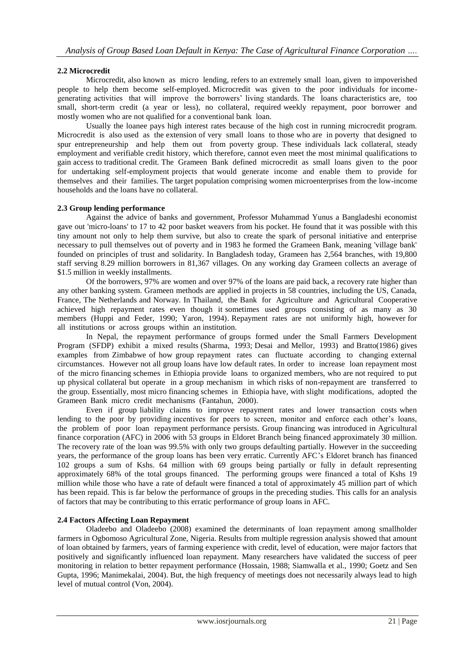# **2.2 Microcredit**

Microcredit, also known as micro lending, refers to an extremely small loan, given to impoverished people to help them become self-employed. Microcredit was given to the poor individuals for incomegenerating activities that will improve the borrowers' living standards. The loans characteristics are, too small, short-term credit (a year or less), no collateral, required weekly repayment, poor borrower and mostly women who are not qualified for a conventional bank loan.

Usually the loanee pays high interest rates because of the high cost in running microcredit program. Microcredit is also used as the extension of very small loans to those who are in poverty that designed to spur entrepreneurship and help them out from poverty group. These individuals lack collateral, steady employment and verifiable credit history, which therefore, cannot even meet the most minimal qualifications to gain access to traditional credit. The Grameen Bank defined microcredit as small loans given to the poor for undertaking self-employment projects that would generate income and enable them to provide for themselves and their families. The target population comprising women microenterprises from the low-income households and the loans have no collateral.

# **2.3 Group lending performance**

Against the advice of banks and government, Professor Muhammad Yunus a Bangladeshi economist gave out 'micro-loans' to 17 to 42 poor basket weavers from his pocket. He found that it was possible with this tiny amount not only to help them survive, but also to create the spark of personal initiative and enterprise necessary to pull themselves out of poverty and in 1983 he formed the Grameen Bank, meaning 'village bank' founded on principles of trust and solidarity. In Bangladesh today, Grameen has 2,564 branches, with 19,800 staff serving 8.29 million borrowers in 81,367 villages. On any working day Grameen collects an average of \$1.5 million in weekly installments.

Of the borrowers, 97% are women and over 97% of the loans are paid back, a recovery rate higher than any other banking system. Grameen methods are applied in projects in 58 countries, including the US, Canada, France, The Netherlands and Norway. In Thailand, the Bank for Agriculture and Agricultural Cooperative achieved high repayment rates even though it sometimes used groups consisting of as many as 30 members (Huppi and Feder, 1990; Yaron, 1994). Repayment rates are not uniformly high, however for all institutions or across groups within an institution.

In Nepal, the repayment performance of groups formed under the Small Farmers Development Program (SFDP) exhibit a mixed results (Sharma, 1993; Desai and Mellor, 1993) and Bratto(1986) gives examples from Zimbabwe of how group repayment rates can fluctuate according to changing external circumstances. However not all group loans have low default rates. In order to increase loan repayment most of the micro financing schemes in Ethiopia provide loans to organized members, who are not required to put up physical collateral but operate in a group mechanism in which risks of non-repayment are transferred to the group. Essentially, most micro financing schemes in Ethiopia have, with slight modifications, adopted the Grameen Bank micro credit mechanisms (Fantahun, 2000).

Even if group liability claims to improve repayment rates and lower transaction costs when lending to the poor by providing incentives for peers to screen, monitor and enforce each other's loans, the problem of poor loan repayment performance persists. Group financing was introduced in Agricultural finance corporation (AFC) in 2006 with 53 groups in Eldoret Branch being financed approximately 30 million. The recovery rate of the loan was 99.5% with only two groups defaulting partially. However in the succeeding years, the performance of the group loans has been very erratic. Currently AFC's Eldoret branch has financed 102 groups a sum of Kshs. 64 million with 69 groups being partially or fully in default representing approximately 68% of the total groups financed. The performing groups were financed a total of Kshs 19 million while those who have a rate of default were financed a total of approximately 45 million part of which has been repaid. This is far below the performance of groups in the preceding studies. This calls for an analysis of factors that may be contributing to this erratic performance of group loans in AFC.

# **2.4 Factors Affecting Loan Repayment**

Oladeebo and Oladeebo (2008) examined the determinants of loan repayment among smallholder farmers in Ogbomoso Agricultural Zone, Nigeria. Results from multiple regression analysis showed that amount of loan obtained by farmers, years of farming experience with credit, level of education, were major factors that positively and significantly influenced loan repayment. Many researchers have validated the success of peer monitoring in relation to better repayment performance (Hossain, 1988; Siamwalla et al., 1990; Goetz and Sen Gupta, 1996; Manimekalai, 2004). But, the high frequency of meetings does not necessarily always lead to high level of mutual control (Von, 2004).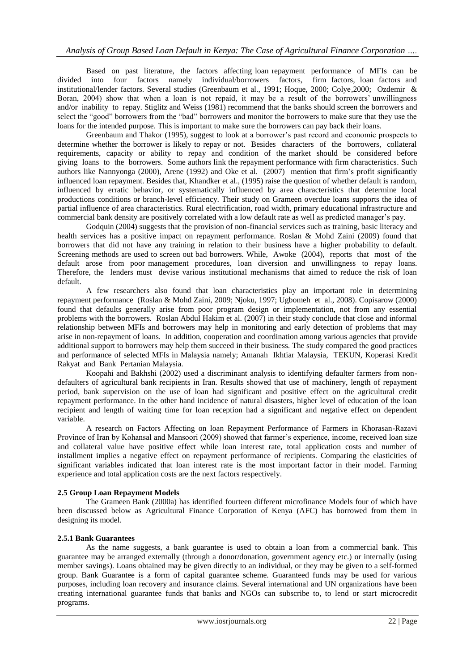Based on past literature, the factors affecting loan repayment performance of MFIs can be divided into four factors namely individual/borrowers factors, firm factors, loan factors and institutional/lender factors. Several studies (Greenbaum et al., 1991; Hoque, 2000; Colye,2000; Ozdemir & Boran, 2004) show that when a loan is not repaid, it may be a result of the borrowers' unwillingness and/or inability to repay. Stiglitz and Weiss (1981) recommend that the banks should screen the borrowers and select the "good" borrowers from the "bad" borrowers and monitor the borrowers to make sure that they use the loans for the intended purpose. This is important to make sure the borrowers can pay back their loans.

Greenbaum and Thakor (1995), suggest to look at a borrower's past record and economic prospects to determine whether the borrower is likely to repay or not. Besides characters of the borrowers, collateral requirements, capacity or ability to repay and condition of the market should be considered before giving loans to the borrowers. Some authors link the repayment performance with firm characteristics. Such authors like Nannyonga (2000), Arene (1992) and Oke et al. (2007) mention that firm's profit significantly influenced loan repayment. Besides that, Khandker et al., (1995) raise the question of whether default is random, influenced by erratic behavior, or systematically influenced by area characteristics that determine local productions conditions or branch-level efficiency. Their study on Grameen overdue loans supports the idea of partial influence of area characteristics. Rural electrification, road width, primary educational infrastructure and commercial bank density are positively correlated with a low default rate as well as predicted manager's pay.

Godquin (2004) suggests that the provision of non-financial services such as training, basic literacy and health services has a positive impact on repayment performance. Roslan & Mohd Zaini (2009) found that borrowers that did not have any training in relation to their business have a higher probability to default. Screening methods are used to screen out bad borrowers. While, Awoke (2004), reports that most of the default arose from poor management procedures, loan diversion and unwillingness to repay loans. Therefore, the lenders must devise various institutional mechanisms that aimed to reduce the risk of loan default.

A few researchers also found that loan characteristics play an important role in determining repayment performance (Roslan & Mohd Zaini, 2009; Njoku, 1997; Ugbomeh et al., 2008). Copisarow (2000) found that defaults generally arise from poor program design or implementation, not from any essential problems with the borrowers. Roslan Abdul Hakim et al. (2007) in their study conclude that close and informal relationship between MFIs and borrowers may help in monitoring and early detection of problems that may arise in non-repayment of loans. In addition, cooperation and coordination among various agencies that provide additional support to borrowers may help them succeed in their business. The study compared the good practices and performance of selected MFIs in Malaysia namely; Amanah Ikhtiar Malaysia, TEKUN, Koperasi Kredit Rakyat and Bank Pertanian Malaysia.

Koopahi and Bakhshi (2002) used a discriminant analysis to identifying defaulter farmers from nondefaulters of agricultural bank recipients in Iran. Results showed that use of machinery, length of repayment period, bank supervision on the use of loan had significant and positive effect on the agricultural credit repayment performance. In the other hand incidence of natural disasters, higher level of education of the loan recipient and length of waiting time for loan reception had a significant and negative effect on dependent variable.

A research on Factors Affecting on loan Repayment Performance of Farmers in Khorasan-Razavi Province of Iran by Kohansal and Mansoori (2009) showed that farmer's experience, income, received loan size and collateral value have positive effect while loan interest rate, total application costs and number of installment implies a negative effect on repayment performance of recipients. Comparing the elasticities of significant variables indicated that loan interest rate is the most important factor in their model. Farming experience and total application costs are the next factors respectively.

# **2.5 Group Loan Repayment Models**

The Grameen Bank (2000a) has identified fourteen different microfinance Models four of which have been discussed below as Agricultural Finance Corporation of Kenya (AFC) has borrowed from them in designing its model.

# **2.5.1 Bank Guarantees**

As the name suggests, a bank guarantee is used to obtain a loan from a commercial bank. This guarantee may be arranged externally (through a donor/donation, government agency etc.) or internally (using member savings). Loans obtained may be given directly to an individual, or they may be given to a self-formed group. Bank Guarantee is a form of capital guarantee scheme. Guaranteed funds may be used for various purposes, including loan recovery and insurance claims. Several international and UN organizations have been creating international guarantee funds that banks and NGOs can subscribe to, to lend or start microcredit programs.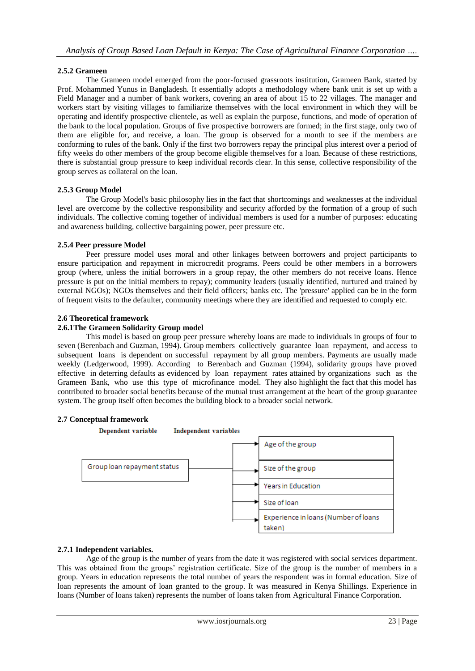# **2.5.2 Grameen**

The Grameen model emerged from the poor-focused grassroots institution, Grameen Bank, started by Prof. Mohammed Yunus in Bangladesh. It essentially adopts a methodology where bank unit is set up with a Field Manager and a number of bank workers, covering an area of about 15 to 22 villages. The manager and workers start by visiting villages to familiarize themselves with the local environment in which they will be operating and identify prospective clientele, as well as explain the purpose, functions, and mode of operation of the bank to the local population. Groups of five prospective borrowers are formed; in the first stage, only two of them are eligible for, and receive, a loan. The group is observed for a month to see if the members are conforming to rules of the bank. Only if the first two borrowers repay the principal plus interest over a period of fifty weeks do other members of the group become eligible themselves for a loan. Because of these restrictions, there is substantial group pressure to keep individual records clear. In this sense, collective responsibility of the group serves as collateral on the loan.

## **2.5.3 Group Model**

The Group Model's basic philosophy lies in the fact that shortcomings and weaknesses at the individual level are overcome by the collective responsibility and security afforded by the formation of a group of such individuals. The collective coming together of individual members is used for a number of purposes: educating and awareness building, collective bargaining power, peer pressure etc.

## **2.5.4 Peer pressure Model**

Peer pressure model uses moral and other linkages between borrowers and project participants to ensure participation and repayment in microcredit programs. Peers could be other members in a borrowers group (where, unless the initial borrowers in a group repay, the other members do not receive loans. Hence pressure is put on the initial members to repay); community leaders (usually identified, nurtured and trained by external NGOs); NGOs themselves and their field officers; banks etc. The 'pressure' applied can be in the form of frequent visits to the defaulter, community meetings where they are identified and requested to comply etc.

## **2.6 Theoretical framework**

## **2.6.1The Grameen Solidarity Group model**

This model is based on group peer pressure whereby loans are made to individuals in groups of four to seven (Berenbach and Guzman, 1994). Group members collectively guarantee loan repayment, and access to subsequent loans is dependent on successful repayment by all group members. Payments are usually made weekly (Ledgerwood, 1999). According to Berenbach and Guzman (1994), solidarity groups have proved effective in deterring defaults as evidenced by loan repayment rates attained by organizations such as the Grameen Bank, who use this type of microfinance model. They also highlight the fact that this model has contributed to broader social benefits because of the mutual trust arrangement at the heart of the group guarantee system. The group itself often becomes the building block to a broader social network.

# **2.7 Conceptual framework**



#### **2.7.1 Independent variables.**

Age of the group is the number of years from the date it was registered with social services department. This was obtained from the groups' registration certificate. Size of the group is the number of members in a group. Years in education represents the total number of years the respondent was in formal education. Size of loan represents the amount of loan granted to the group. It was measured in Kenya Shillings. Experience in loans (Number of loans taken) represents the number of loans taken from Agricultural Finance Corporation.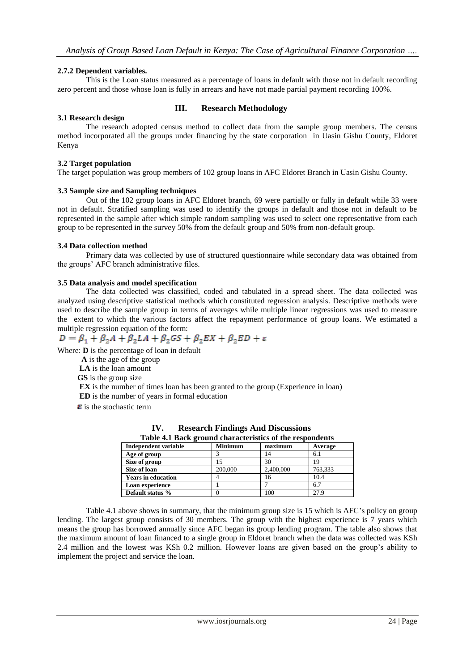# **2.7.2 Dependent variables.**

This is the Loan status measured as a percentage of loans in default with those not in default recording zero percent and those whose loan is fully in arrears and have not made partial payment recording 100%.

## **III. Research Methodology**

## **3.1 Research design**

The research adopted census method to collect data from the sample group members. The census method incorporated all the groups under financing by the state corporation in Uasin Gishu County, Eldoret Kenya

## **3.2 Target population**

The target population was group members of 102 group loans in AFC Eldoret Branch in Uasin Gishu County.

#### **3.3 Sample size and Sampling techniques**

Out of the 102 group loans in AFC Eldoret branch, 69 were partially or fully in default while 33 were not in default. Stratified sampling was used to identify the groups in default and those not in default to be represented in the sample after which simple random sampling was used to select one representative from each group to be represented in the survey 50% from the default group and 50% from non-default group.

#### **3.4 Data collection method**

Primary data was collected by use of structured questionnaire while secondary data was obtained from the groups' AFC branch administrative files.

## **3.5 Data analysis and model specification**

The data collected was classified, coded and tabulated in a spread sheet. The data collected was analyzed using descriptive statistical methods which constituted regression analysis. Descriptive methods were used to describe the sample group in terms of averages while multiple linear regressions was used to measure the extent to which the various factors affect the repayment performance of group loans. We estimated a multiple regression equation of the form:

$$
D = \beta_1 + \beta_2 A + \beta_2 LA + \beta_2 GS + \beta_2 EX + \beta_2 ED + \varepsilon
$$

Where: **D** is the percentage of loan in default

 **A** is the age of the group **LA** is the loan amount **GS** is the group size **EX** is the number of times loan has been granted to the group (Experience in loan) **ED** is the number of years in formal education

 $\epsilon$  is the stochastic term

| Table 4.1 Back ground characteristics of the respondents |                |           |         |  |  |
|----------------------------------------------------------|----------------|-----------|---------|--|--|
| Independent variable                                     | <b>Minimum</b> | maximum   | Average |  |  |
| Age of group                                             |                |           | 6.1     |  |  |
| Size of group                                            |                | 30        |         |  |  |
| Size of loan                                             | 200,000        | 2,400,000 | 763.333 |  |  |
| <b>Years in education</b>                                |                | 16        | 10.4    |  |  |
| Loan experience                                          |                |           | 6.7     |  |  |
| Default status %                                         |                | 100       | 27.9    |  |  |

**IV. Research Findings And Discussions Table 4.1 Back ground characteristics of the respondents**

Table 4.1 above shows in summary, that the minimum group size is 15 which is AFC's policy on group lending. The largest group consists of 30 members. The group with the highest experience is 7 years which means the group has borrowed annually since AFC began its group lending program. The table also shows that the maximum amount of loan financed to a single group in Eldoret branch when the data was collected was KSh 2.4 million and the lowest was KSh 0.2 million. However loans are given based on the group's ability to implement the project and service the loan.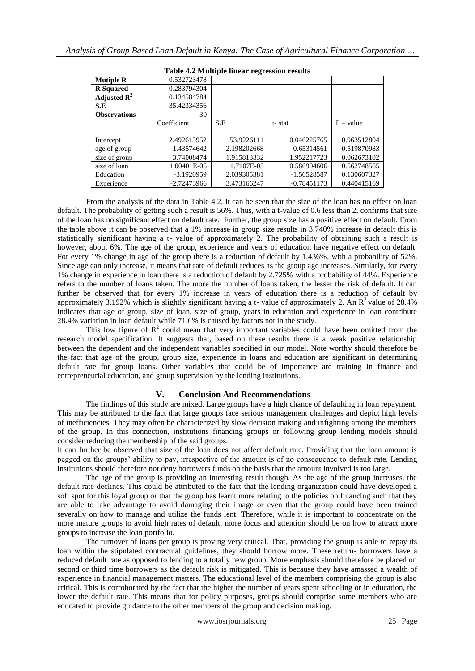| Tuble 4.2 Multiple mileti Tegi ession results |               |             |               |             |  |  |  |
|-----------------------------------------------|---------------|-------------|---------------|-------------|--|--|--|
| <b>Mutiple R</b>                              | 0.532723478   |             |               |             |  |  |  |
| <b>R</b> Squared                              | 0.283794304   |             |               |             |  |  |  |
| Adjusted $\mathbb{R}^2$                       | 0.134584784   |             |               |             |  |  |  |
| S.E                                           | 35.42334356   |             |               |             |  |  |  |
| <b>Observations</b>                           | 30            |             |               |             |  |  |  |
|                                               | Coefficient   | S.E         | t-stat        | $P - value$ |  |  |  |
|                                               |               |             |               |             |  |  |  |
| Intercept                                     | 2.492613952   | 53.9226111  | 0.046225765   | 0.963512804 |  |  |  |
| age of group                                  | $-1.43574642$ | 2.198202668 | $-0.65314561$ | 0.519870983 |  |  |  |
| size of group                                 | 3.74008474    | 1.915813332 | 1.952217723   | 0.062673102 |  |  |  |
| size of loan                                  | 1.00401E-05   | 1.7107E-05  | 0.586904606   | 0.562748565 |  |  |  |
| Education                                     | $-3.1920959$  | 2.039305381 | -1.56528587   | 0.130607327 |  |  |  |
| Experience                                    | $-2.72473966$ | 3.473166247 | $-0.78451173$ | 0.440415169 |  |  |  |

#### **Table 4.2 Multiple linear regression results**

From the analysis of the data in Table 4.2, it can be seen that the size of the loan has no effect on loan default. The probability of getting such a result is 56%. Thus, with a t-value of 0.6 less than 2, confirms that size of the loan has no significant effect on default rate. Further, the group size has a positive effect on default. From the table above it can be observed that a 1% increase in group size results in 3.740% increase in default this is statistically significant having a t- value of approximately 2. The probability of obtaining such a result is however, about 6%. The age of the group, experience and years of education have negative effect on default. For every 1% change in age of the group there is a reduction of default by 1.436%, with a probability of 52%. Since age can only increase, it means that rate of default reduces as the group age increases. Similarly, for every 1% change in experience in loan there is a reduction of default by 2.725% with a probability of 44%. Experience refers to the number of loans taken. The more the number of loans taken, the lesser the risk of default. It can further be observed that for every 1% increase in years of education there is a reduction of default by approximately 3.192% which is slightly significant having a t- value of approximately 2. An  $R^2$  value of 28.4% indicates that age of group, size of loan, size of group, years in education and experience in loan contribute 28.4% variation in loan default while 71.6% is caused by factors not in the study.

This low figure of  $\mathbb{R}^2$  could mean that very important variables could have been omitted from the research model specification. It suggests that, based on these results there is a weak positive relationship between the dependent and the independent variables specified in our model. Note worthy should therefore be the fact that age of the group, group size, experience in loans and education are significant in determining default rate for group loans. Other variables that could be of importance are training in finance and entrepreneurial education, and group supervision by the lending institutions.

# **V. Conclusion And Recommendations**

The findings of this study are mixed. Large groups have a high chance of defaulting in loan repayment. This may be attributed to the fact that large groups face serious management challenges and depict high levels of inefficiencies. They may often be characterized by slow decision making and infighting among the members of the group. In this connection, institutions financing groups or following group lending models should consider reducing the membership of the said groups.

It can further be observed that size of the loan does not affect default rate. Providing that the loan amount is pegged on the groups' ability to pay, irrespective of the amount is of no consequence to default rate. Lending institutions should therefore not deny borrowers funds on the basis that the amount involved is too large.

The age of the group is providing an interesting result though. As the age of the group increases, the default rate declines. This could be attributed to the fact that the lending organization could have developed a soft spot for this loyal group or that the group has learnt more relating to the policies on financing such that they are able to take advantage to avoid damaging their image or even that the group could have been trained severally on how to manage and utilize the funds lent. Therefore, while it is important to concentrate on the more mature groups to avoid high rates of default, more focus and attention should be on how to attract more groups to increase the loan portfolio.

The turnover of loans per group is proving very critical. That, providing the group is able to repay its loan within the stipulated contractual guidelines, they should borrow more. These return- borrowers have a reduced default rate as opposed to lending to a totally new group. More emphasis should therefore be placed on second or third time borrowers as the default risk is mitigated. This is because they have amassed a wealth of experience in financial management matters. The educational level of the members comprising the group is also critical. This is corroborated by the fact that the higher the number of years spent schooling or in education, the lower the default rate. This means that for policy purposes, groups should comprise some members who are educated to provide guidance to the other members of the group and decision making.